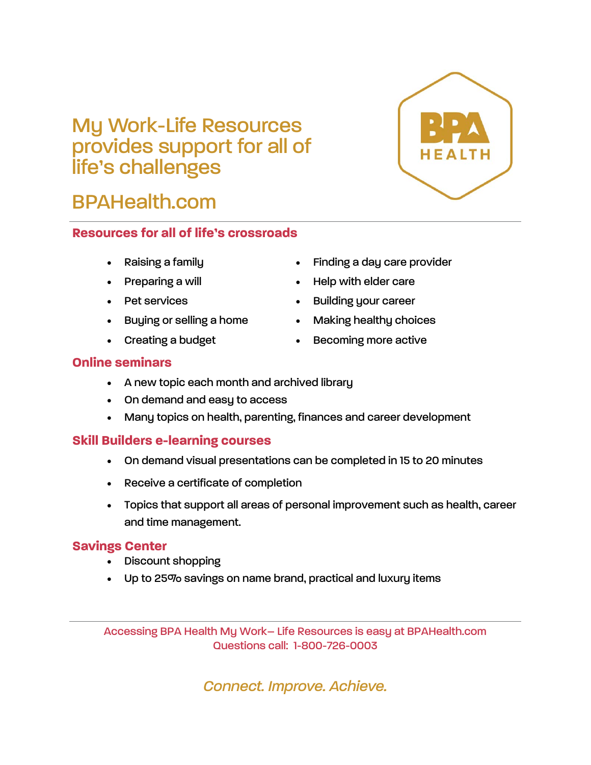# My Work-Life Resources provides support for all of life's challenges

# BPAHealth.com

# **Resources for all of life's crossroads**

- 
- 
- 
- Buying or selling a home **Making healthy choices**
- 
- Raising a family **Example 2** Finding a day care provider
- Preparing a will **Exercise 20** Field with elder care
- Pet services **building your career** 
	-
- Creating a budget **Creating a budget Becoming more active**

## **Online seminars**

- A new topic each month and archived library
- On demand and easy to access
- Many topics on health, parenting, finances and career development

# **Skill Builders e-learning courses**

- On demand visual presentations can be completed in 15 to 20 minutes
- Receive a certificate of completion
- Topics that support all areas of personal improvement such as health, career and time management.

## **Savings Center**

- Discount shopping
- Up to 25% savings on name brand, practical and luxury items

Accessing BPA Health My Work– Life Resources is easy at BPAHealth.com Questions call: 1-800-726-0003

*Connect. Improve. Achieve.*